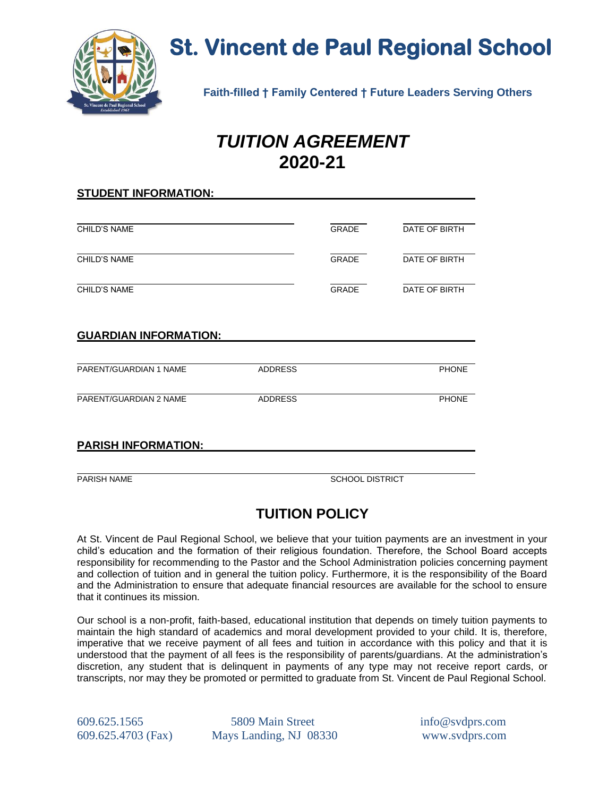

# **St. Vincent de Paul Regional School**

 **Faith-filled † Family Centered † Future Leaders Serving Others**

## *TUITION AGREEMENT* **2020-21**

| <b>STUDENT INFORMATION:</b>  |                |                 |               |  |
|------------------------------|----------------|-----------------|---------------|--|
|                              |                |                 |               |  |
| CHILD'S NAME                 |                | GRADE           | DATE OF BIRTH |  |
| <b>CHILD'S NAME</b>          |                | <b>GRADE</b>    | DATE OF BIRTH |  |
| <b>CHILD'S NAME</b>          |                | <b>GRADE</b>    | DATE OF BIRTH |  |
| <b>GUARDIAN INFORMATION:</b> |                |                 |               |  |
| PARENT/GUARDIAN 1 NAME       | <b>ADDRESS</b> |                 | <b>PHONE</b>  |  |
| PARENT/GUARDIAN 2 NAME       | <b>ADDRESS</b> |                 | <b>PHONE</b>  |  |
| <b>PARISH INFORMATION:</b>   |                |                 |               |  |
| <b>PARISH NAME</b>           |                | SCHOOL DISTRICT |               |  |

### **TUITION POLICY**

At St. Vincent de Paul Regional School, we believe that your tuition payments are an investment in your child's education and the formation of their religious foundation. Therefore, the School Board accepts responsibility for recommending to the Pastor and the School Administration policies concerning payment and collection of tuition and in general the tuition policy. Furthermore, it is the responsibility of the Board and the Administration to ensure that adequate financial resources are available for the school to ensure that it continues its mission.

Our school is a non-profit, faith-based, educational institution that depends on timely tuition payments to maintain the high standard of academics and moral development provided to your child. It is, therefore, imperative that we receive payment of all fees and tuition in accordance with this policy and that it is understood that the payment of all fees is the responsibility of parents/guardians. At the administration's discretion, any student that is delinquent in payments of any type may not receive report cards, or transcripts, nor may they be promoted or permitted to graduate from St. Vincent de Paul Regional School.

609.625.1565 5809 Main Street info@svdprs.com 609.625.4703 (Fax) Mays Landing, NJ 08330 www.svdprs.com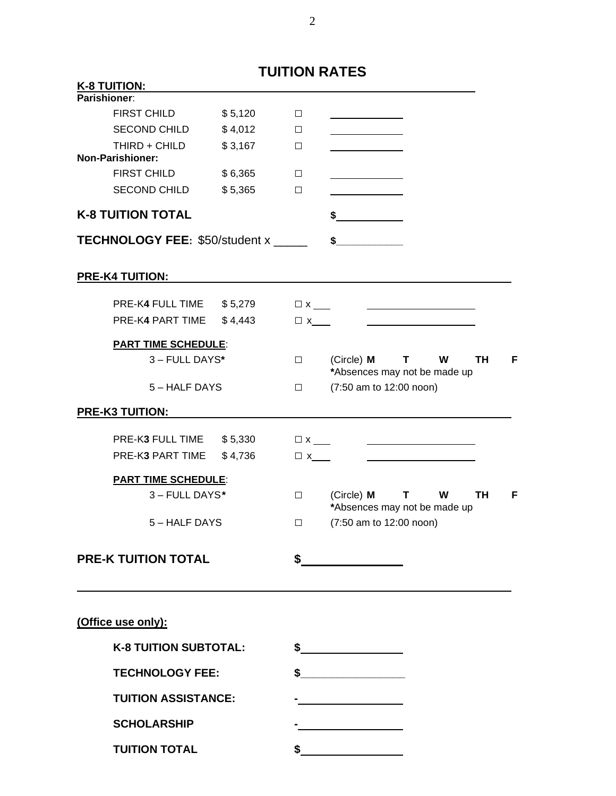|                                                      |         | <b>TUITION RATES</b> |                                                               |
|------------------------------------------------------|---------|----------------------|---------------------------------------------------------------|
| <b>K-8 TUITION:</b>                                  |         |                      |                                                               |
| Parishioner:                                         |         |                      |                                                               |
| FIRST CHILD                                          | \$5,120 | $\Box$               |                                                               |
| <b>SECOND CHILD</b>                                  | \$4,012 | $\Box$               |                                                               |
| THIRD + CHILD                                        | \$3,167 | $\Box$               |                                                               |
| <b>Non-Parishioner:</b>                              |         |                      |                                                               |
| <b>FIRST CHILD</b>                                   | \$6,365 | $\Box$               |                                                               |
| SECOND CHILD                                         | \$5,365 | $\Box$               |                                                               |
| <b>K-8 TUITION TOTAL</b>                             |         |                      | $\frac{1}{2}$                                                 |
| <b>TECHNOLOGY FEE: \$50/student x _____</b>          |         |                      | $\sim$                                                        |
| <b>PRE-K4 TUITION:</b>                               |         |                      |                                                               |
| PRE-K4 FULL TIME \$5,279                             |         |                      |                                                               |
| PRE-K4 PART TIME                                     | \$4,443 | $\Box$ x             |                                                               |
| <b>PART TIME SCHEDULE:</b>                           |         |                      |                                                               |
| 3 - FULL DAYS*                                       |         | $\Box$               | $(Circle)$ M T W<br>TH.<br>F.<br>*Absences may not be made up |
| 5 – HALF DAYS                                        |         | $\Box$               | (7:50 am to 12:00 noon)                                       |
| <b>PRE-K3 TUITION:</b>                               |         |                      |                                                               |
|                                                      |         |                      |                                                               |
| PRE-K3 FULL TIME \$5,330<br>PRE-K3 PART TIME \$4,736 |         |                      |                                                               |
|                                                      |         | $\Box$ x_            |                                                               |
| <b>PART TIME SCHEDULE:</b>                           |         |                      |                                                               |
| 3 - FULL DAYS*                                       |         | $\Box$               | (Circle) M<br>$\mathbf{T}$<br>W<br>TH<br>F.                   |
| 5-HALF DAYS                                          |         | $\Box$               | *Absences may not be made up<br>(7:50 am to 12:00 noon)       |
|                                                      |         |                      |                                                               |
| <b>PRE-K TUITION TOTAL</b>                           |         | \$                   |                                                               |
| (Office use only):                                   |         |                      |                                                               |
| <b>K-8 TUITION SUBTOTAL:</b>                         |         |                      | $\frac{1}{2}$                                                 |
| <b>TECHNOLOGY FEE:</b>                               |         |                      | \$                                                            |
| <b>TUITION ASSISTANCE:</b>                           |         |                      |                                                               |
| <b>SCHOLARSHIP</b>                                   |         |                      |                                                               |
| <b>TUITION TOTAL</b>                                 |         | \$                   |                                                               |

2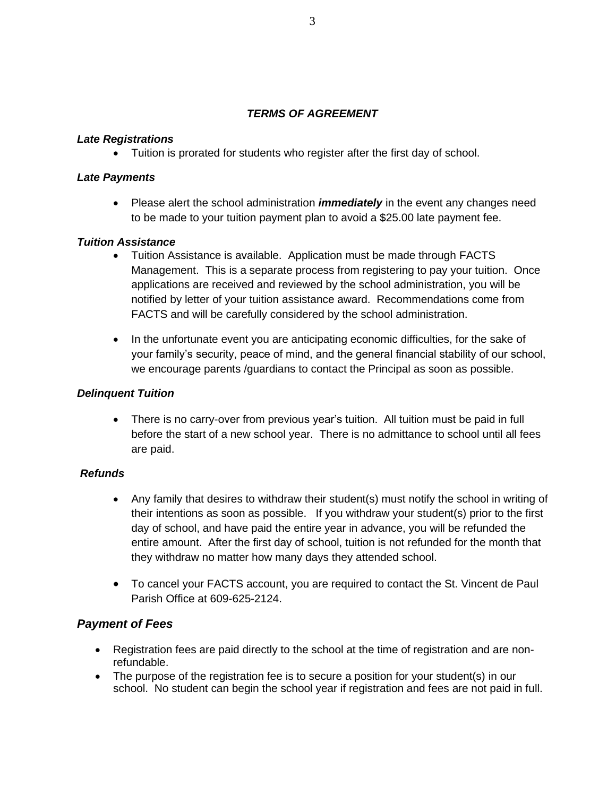#### *TERMS OF AGREEMENT*

#### *Late Registrations*

• Tuition is prorated for students who register after the first day of school.

#### *Late Payments*

• Please alert the school administration *immediately* in the event any changes need to be made to your tuition payment plan to avoid a \$25.00 late payment fee.

#### *Tuition Assistance*

- Tuition Assistance is available. Application must be made through FACTS Management. This is a separate process from registering to pay your tuition. Once applications are received and reviewed by the school administration, you will be notified by letter of your tuition assistance award. Recommendations come from FACTS and will be carefully considered by the school administration.
- In the unfortunate event you are anticipating economic difficulties, for the sake of your family's security, peace of mind, and the general financial stability of our school, we encourage parents /guardians to contact the Principal as soon as possible.

#### *Delinquent Tuition*

• There is no carry-over from previous year's tuition. All tuition must be paid in full before the start of a new school year. There is no admittance to school until all fees are paid.

#### *Refunds*

- Any family that desires to withdraw their student(s) must notify the school in writing of their intentions as soon as possible. If you withdraw your student(s) prior to the first day of school, and have paid the entire year in advance, you will be refunded the entire amount. After the first day of school, tuition is not refunded for the month that they withdraw no matter how many days they attended school.
- To cancel your FACTS account, you are required to contact the St. Vincent de Paul Parish Office at 609-625-2124.

#### *Payment of Fees*

- Registration fees are paid directly to the school at the time of registration and are nonrefundable.
- The purpose of the registration fee is to secure a position for your student(s) in our school. No student can begin the school year if registration and fees are not paid in full.